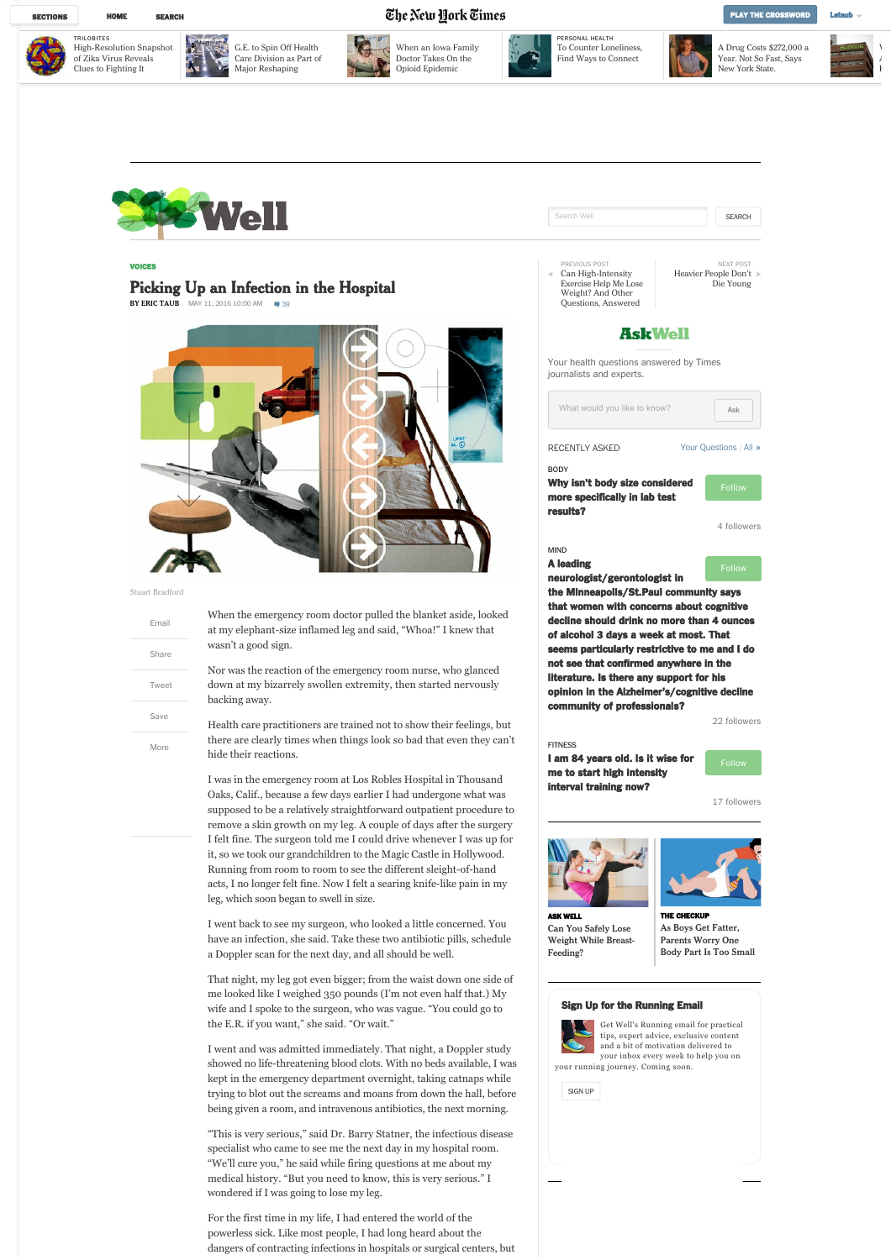









[When an Iowa Family](https://www.nytimes.com/2018/06/23/health/opioid-addiction-suboxone-treatment.html?rref=health) Doctor Takes On the Opioid Epidemic

The New York Times



PERSONAL HEALTH [To Counter Loneliness,](https://www.nytimes.com/2018/06/25/well/to-counter-loneliness-find-ways-to-connect.html?rref=health) Find Ways to Connect







"This is very serious," said Dr. Barry Statner, the infectious disease specialist who came to see me the next day in my hospital room. "We'll cure you," he said while firing questions at me about my medical history. "But you need to know, this is very serious." I wondered if I was going to lose my leg.

For the first time in my life, I had entered the world of the powerless sick. Like most people, I had long heard about the dangers of contracting infections in hospitals or surgical centers, but



4 follower

NEVT POST





the Minneapolis/St.Paul community says that women with concerns about cognitive decline should drink no more than 4 ounces of alcohol 3 days a week at most. That seems particularly restrictive to me and I do not ee that confirmed anwhere in the literature. Is there any support for his opinion in the Alzheimer's/cognitive decline community of professionals?



I am 84 years old. Is it wise for me to start high intensity







THE CHECKUP **As Boys Get Fatter, Parents Worry One [Body Part Is Too Small](https://well.blogs.nytimes.com/2016/08/29/as-boys-get-fatter-parents-worry-one-body-part-is-too-small/)**

## Sign Up for the Running Email

tips, expert advice, exclusive content and a bit of motivation delivered to your inbox every week to help you on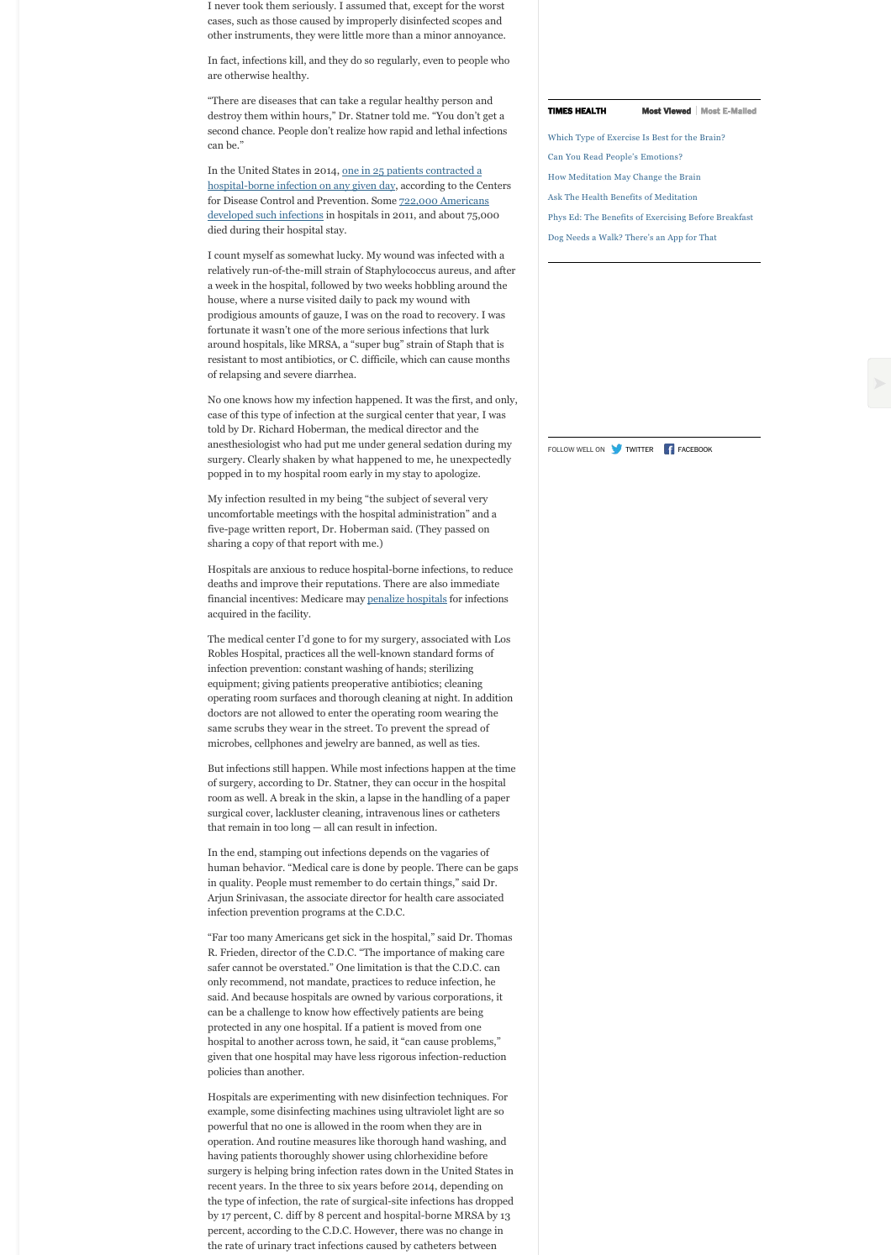I never took them seriously. I assumed that, except for the worst cases, such as those caused by improperly disinfected scopes and other instruments, they were little more than a minor annoyance.

In fact, infections kill, and they do so regularly, even to people who are otherwise healthy.

"There are diseases that can take a regular healthy person and destroy them within hours," Dr. Statner told me. "You don't get a second chance. People don't realize how rapid and lethal infections can be."

[In the United States in 2014, one in 25 patients contracted a](https://www.cdc.gov/hai/pdfs/progress-report/exec-summary-haipr.pdf) hospital-borne infection on any given day, according to the Centers [for Disease Control and Prevention. Some 722,000 Americans](https://www.cdc.gov/hai/surveillance/index.html) developed such infections in hospitals in 2011, and about 75,000 died during their hospital stay.

I count myself as somewhat lucky. My wound was infected with a relatively run-of-the-mill strain of Staphylococcus aureus, and after a week in the hospital, followed by two weeks hobbling around the house, where a nurse visited daily to pack my wound with prodigious amounts of gauze, I was on the road to recovery. I was fortunate it wasn't one of the more serious infections that lurk around hospitals, like MRSA, a "super bug" strain of Staph that is resistant to most antibiotics, or C. difficile, which can cause months of relapsing and severe diarrhea.

No one knows how my infection happened. It was the first, and only, case of this type of infection at the surgical center that year, I was told by Dr. Richard Hoberman, the medical director and the anesthesiologist who had put me under general sedation during my surgery. Clearly shaken by what happened to me, he unexpectedly popped in to my hospital room early in my stay to apologize.

My infection resulted in my being "the subject of several very uncomfortable meetings with the hospital administration" and a five-page written report, Dr. Hoberman said. (They passed on sharing a copy of that report with me.)

Hospitals are anxious to reduce hospital-borne infections, to reduce deaths and improve their reputations. There are also immediate financial incentives: Medicare may [penalize hospitals](https://www.nytimes.com/2016/04/21/health/how-medicare-penalizes-hospitals-for-being-too-careful.html) for infections acquired in the facility.

The medical center I'd gone to for my surgery, associated with Los Robles Hospital, practices all the well-known standard forms of infection prevention: constant washing of hands; sterilizing equipment; giving patients preoperative antibiotics; cleaning operating room surfaces and thorough cleaning at night. In addition doctors are not allowed to enter the operating room wearing the same scrubs they wear in the street. To prevent the spread of microbes, cellphones and jewelry are banned, as well as ties.

But infections still happen. While most infections happen at the time of surgery, according to Dr. Statner, they can occur in the hospital room as well. A break in the skin, a lapse in the handling of a paper surgical cover, lackluster cleaning, intravenous lines or catheters that remain in too long — all can result in infection.

In the end, stamping out infections depends on the vagaries of human behavior. "Medical care is done by people. There can be gaps in quality. People must remember to do certain things," said Dr. Arjun Srinivasan, the associate director for health care associated infection prevention programs at the C.D.C.

"Far too many Americans get sick in the hospital," said Dr. Thomas R. Frieden, director of the C.D.C. "The importance of making care safer cannot be overstated." One limitation is that the C.D.C. can only recommend, not mandate, practices to reduce infection, he said. And because hospitals are owned by various corporations, it can be a challenge to know how effectively patients are being protected in any one hospital. If a patient is moved from one hospital to another across town, he said, it "can cause problems," given that one hospital may have less rigorous infection-reduction policies than another.

Hospitals are experimenting with new disinfection techniques. For example, some disinfecting machines using ultraviolet light are so powerful that no one is allowed in the room when they are in operation. And routine measures like thorough hand washing, and having patients thoroughly shower using chlorhexidine before surgery is helping bring infection rates down in the United States in recent years. In the three to six years before 2014, depending on the type of infection, the rate of surgical-site infections has dropped by 17 percent, C. diff by 8 percent and hospital-borne MRSA by 13 percent, according to the C.D.C. However, there was no change in the rate of urinary tract infections caused by catheters between

## **TIMES HEALTH**

## Most Viewed | Most E-Mailed

- [Which Type of Exercise Is Best for the Brain?](https://well.blogs.nytimes.com/2016/02/17/which-type-of-exercise-is-best-for-the-brain/) [Can You Read People's Emotions?](https://well.blogs.nytimes.com/2013/10/03/well-quiz-the-mind-behind-the-eyes/) [How Meditation May Change the Brain](https://well.blogs.nytimes.com/2011/01/28/how-meditation-may-change-the-brain/) [Ask The Health Benefits of Meditation](https://well.blogs.nytimes.com/2015/11/10/ask-well-the-health-benefits-of-meditation/)
- [Phys Ed: The Benefits of Exercising Before Breakfast](https://well.blogs.nytimes.com/2010/12/15/phys-ed-the-benefits-of-exercising-before-breakfast/)
- [Dog Needs a Walk? There's an App for That](https://well.blogs.nytimes.com/2015/07/07/dog-needs-a-walk-theres-an-app-for-that/)

FOLLOW WELL ON **TWITTER F** FACEBOOK